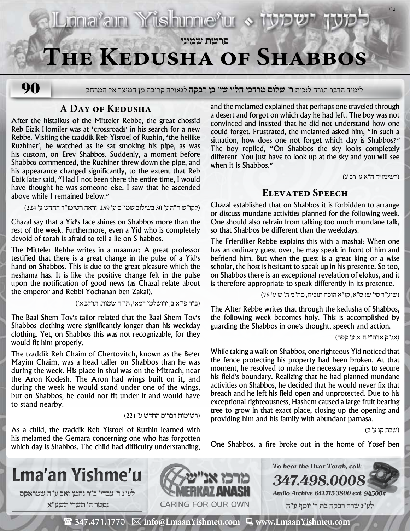

# **The Kedusha of Shabbos**

**90**

לימוד הדבר תורה לזכות **ר' שלום מרדכי הלוי שי' בן רבקה** לגאולה קרובה מן המיצר אל המרחב

## **A Day of Kedusha**

After the histalkus of the Mitteler Rebbe, the great chossid Reb Eizik Homiler was at 'crossroads׳ in his search for a new Rebbe. Visiting the tzaddik Reb Yisroel of Ruzhin, 'the heilike Ruzhiner׳, he watched as he sat smoking his pipe, as was his custom, on Erev Shabbos. Suddenly, a moment before Shabbos commenced, the Ruzhiner threw down the pipe, and his appearance changed significantly, to the extent that Reb Eizik later said, "Had I not been there the entire time, I would have thought he was someone else. I saw that he ascended above while I remained below.״

)לקו״ש ח״ה ע׳ 30 בשילוב שמו״ס ע׳ ,259 וראה רשימו״ד החדש ע׳ 224(

Chazal say that a Yid׳s face shines on Shabbos more than the rest of the week. Furthermore, even a Yid who is completely devoid of torah is afraid to tell a lie on S habbos.

The Mitteler Rebbe writes in a maamar: A great professor testified that there is a great change in the pulse of a Yid׳s hand on Shabbos. This is due to the great pleasure which the neshama has. It is like the positive change felt in the pulse upon the notification of good news (as Chazal relate about the emperor and Rebbi Yochanan ben Zakai).

)ב״ר פי״א ב, ירושלמי דמאי, תו״ח שמות, תרלב א׳(

The Baal Shem Tov׳s tailor related that the Baal Shem Tov׳s Shabbos clothing were significantly longer than his weekday clothing. Yet, on Shabbos this was not recognizable, for they would fit him properly.

The tzaddik Reb Chaim of Chertovitch, known as the Be׳er Mayim Chaim, was a head taller on Shabbos than he was during the week. His place in shul was on the Mizrach, near the Aron Kodesh. The Aron had wings built on it, and during the week he would stand under one of the wings, but on Shabbos, he could not fit under it and would have to stand nearby.

#### )רשימות דברים החדש ע׳ 221(

As a child, the tzaddik Reb Yisroel of Ruzhin learned with his melamed the Gemara concerning one who has forgotten which day is Shabbos. The child had difficulty understanding, and the melamed explained that perhaps one traveled through a desert and forgot on which day he had left. The boy was not convinced and insisted that he did not understand how one could forget. Frustrated, the melamed asked him, "In such a situation, how does one not forget which day is Shabbos?״ The boy replied, "On Shabbos the sky looks completely different. You just have to look up at the sky and you will see when it is Shabbos.״

)רשימו״ד ח״א ע׳ רכ״ג(

**ב"ה**

## **Elevated Speech**

Chazal established that on Shabbos it is forbidden to arrange or discuss mundane activities planned for the following week. One should also refrain from talking too much mundane talk, so that Shabbos be different than the weekdays.

The Frierdiker Rebbe explains this with a mashal: When one has an ordinary guest over, he may speak in front of him and befriend him. But when the guest is a great king or a wise scholar, the host is hesitant to speak up in his presence. So too, on Shabbos there is an exceptional revelation of elokus, and it is therefore appropriate to speak differently in its presence.

)שוע״ר סי׳ שז ס״א, קו״א הוכח תוכיח, סה״מ ת״ש ע׳ 78(

The Alter Rebbe writes that through the kedusha of Shabbos, the following week becomes holy. This is accomplished by guarding the Shabbos in one׳s thought, speech and action.

)אג״ק אדה״ז ח״א ע׳ קפה(

While taking a walk on Shabbos, one righteous Yid noticed that the fence protecting his property had been broken. At that moment, he resolved to make the necessary repairs to secure his field׳s boundary. Realizing that he had planned mundane activities on Shabbos, he decided that he would never fix that breach and he left his field open and unprotected. Due to his exceptional righteousness, Hashem caused a large fruit bearing tree to grow in that exact place, closing up the opening and providing him and his family with abundant parnasa.

)שבת קנ ע״ב(

One Shabbos, a fire broke out in the home of Yosef ben

**347.498.00** 

**To hear the Dvar Torah, call:**





**Audio Archive 641.715.3800 ext. 94500#**

 **לע"נ שרה רבקה בת ר׳ יוסף ע"ה**

 $\mathbf{\mathcal{F}}$  347.471.1770  $\ \boxtimes$  info@LmaanYishmeu.com  $\ \blacksquare$  www.LmaanYishmeu.com